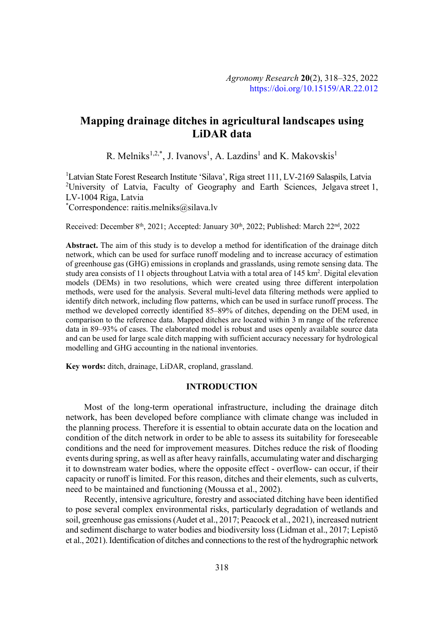# **Mapping drainage ditches in agricultural landscapes using LiDAR data**

R. Melniks<sup>1,2,\*</sup>, J. Ivanovs<sup>1</sup>, A. Lazdins<sup>1</sup> and K. Makovskis<sup>1</sup>

<sup>1</sup>Latvian State Forest Research Institute 'Silava', Riga street 111, LV-2169 Salaspils, Latvia <sup>2</sup>University of Latvia, Faculty of Geography and Earth Sciences, Jelgava street 1, LV-1004 Riga, Latvia

\* Correspondence: raitis.melniks@silava.lv

Received: December 8<sup>th</sup>, 2021; Accepted: January 30<sup>th</sup>, 2022; Published: March 22<sup>nd</sup>, 2022

**Abstract.** The aim of this study is to develop a method for identification of the drainage ditch network, which can be used for surface runoff modeling and to increase accuracy of estimation of greenhouse gas (GHG) emissions in croplands and grasslands, using remote sensing data. The study area consists of 11 objects throughout Latvia with a total area of 145 km<sup>2</sup>. Digital elevation models (DEMs) in two resolutions, which were created using three different interpolation methods, were used for the analysis. Several multi-level data filtering methods were applied to identify ditch network, including flow patterns, which can be used in surface runoff process. The method we developed correctly identified 85–89% of ditches, depending on the DEM used, in comparison to the reference data. Mapped ditches are located within 3 m range of the reference data in 89–93% of cases. The elaborated model is robust and uses openly available source data and can be used for large scale ditch mapping with sufficient accuracy necessary for hydrological modelling and GHG accounting in the national inventories.

**Key words:** ditch, drainage, LiDAR, cropland, grassland.

#### **INTRODUCTION**

Most of the long-term operational infrastructure, including the drainage ditch network, has been developed before compliance with climate change was included in the planning process. Therefore it is essential to obtain accurate data on the location and condition of the ditch network in order to be able to assess its suitability for foreseeable conditions and the need for improvement measures. Ditches reduce the risk of flooding events during spring, as well as after heavy rainfalls, accumulating water and discharging it to downstream water bodies, where the opposite effect - overflow- can occur, if their capacity or runoff is limited. For this reason, ditches and their elements, such as culverts, need to be maintained and functioning (Moussa et al., 2002).

Recently, intensive agriculture, forestry and associated ditching have been identified to pose several complex environmental risks, particularly degradation of wetlands and soil, greenhouse gas emissions (Audet et al., 2017; Peacock et al., 2021), increased nutrient and sediment discharge to water bodies and biodiversity loss (Lidman et al., 2017; Lepistö et al., 2021). Identification of ditches and connections to the rest of the hydrographic network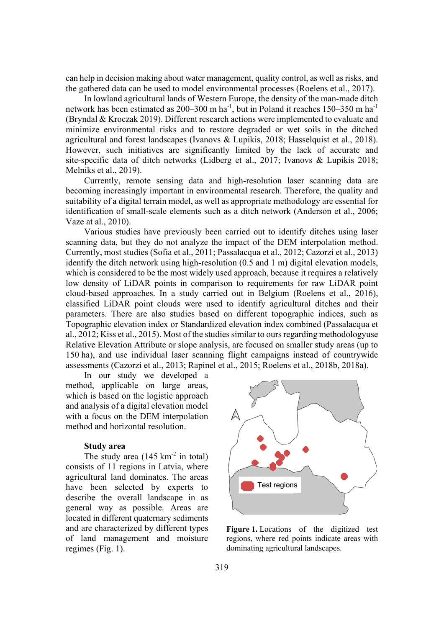can help in decision making about water management, quality control, as well as risks, and the gathered data can be used to model environmental processes (Roelens et al., 2017).

In lowland agricultural lands of Western Europe, the density of the man-made ditch network has been estimated as 200–300 m ha<sup>-1</sup>, but in Poland it reaches 150–350 m ha<sup>-1</sup> (Bryndal & Kroczak 2019). Different research actions were implemented to evaluate and minimize environmental risks and to restore degraded or wet soils in the ditched agricultural and forest landscapes (Ivanovs & Lupikis, 2018; Hasselquist et al., 2018). However, such initiatives are significantly limited by the lack of accurate and site-specific data of ditch networks (Lidberg et al., 2017; Ivanovs & Lupikis 2018; Melniks et al., 2019).

Currently, remote sensing data and high-resolution laser scanning data are becoming increasingly important in environmental research. Therefore, the quality and suitability of a digital terrain model, as well as appropriate methodology are essential for identification of small-scale elements such as a ditch network (Anderson et al., 2006; Vaze at al., 2010).

Various studies have previously been carried out to identify ditches using laser scanning data, but they do not analyze the impact of the DEM interpolation method. Currently, most studies (Sofia et al., 2011; Passalacqua et al., 2012; Cazorzi et al., 2013) identify the ditch network using high-resolution (0.5 and 1 m) digital elevation models, which is considered to be the most widely used approach, because it requires a relatively low density of LiDAR points in comparison to requirements for raw LiDAR point cloud-based approaches. In a study carried out in Belgium (Roelens et al., 2016), classified LiDAR point clouds were used to identify agricultural ditches and their parameters. There are also studies based on different topographic indices, such as Topographic elevation index or Standardized elevation index combined (Passalacqua et al., 2012; Kiss et al., 2015). Most of the studies similar to ours regarding methodologyuse Relative Elevation Attribute or slope analysis, are focused on smaller study areas (up to 150 ha), and use individual laser scanning flight campaigns instead of countrywide assessments (Cazorzi et al., 2013; Rapinel et al., 2015; Roelens et al., 2018b, 2018a).

In our study we developed a method, applicable on large areas, which is based on the logistic approach and analysis of a digital elevation model with a focus on the DEM interpolation method and horizontal resolution.

# **Study area**

The study area  $(145 \text{ km}^2 \text{ in total})$ consists of 11 regions in Latvia, where agricultural land dominates. The areas have been selected by experts to describe the overall landscape in as general way as possible. Areas are located in different quaternary sediments and are characterized by different types of land management and moisture regimes (Fig. 1).



**Figure 1.** Locations of the digitized test regions, where red points indicate areas with dominating agricultural landscapes.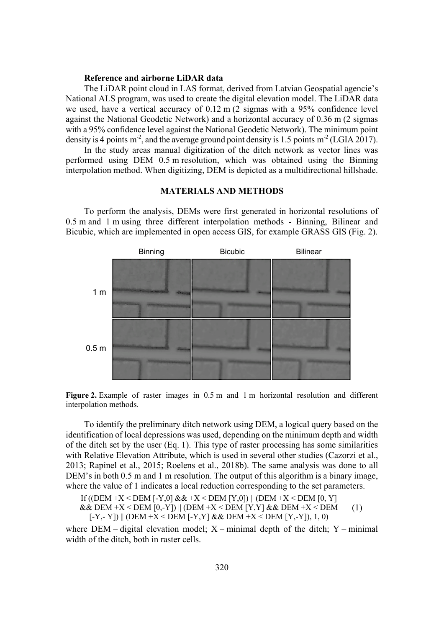# **Reference and airborne LiDAR data**

The LiDAR point cloud in LAS format, derived from Latvian Geospatial agencie's National ALS program, was used to create the digital elevation model. The LiDAR data we used, have a vertical accuracy of 0.12 m (2 sigmas with a 95% confidence level against the National Geodetic Network) and a horizontal accuracy of 0.36 m (2 sigmas with a 95% confidence level against the National Geodetic Network). The minimum point density is 4 points  $m<sup>2</sup>$ , and the average ground point density is 1.5 points  $m<sup>2</sup>$  (LGIA 2017).

In the study areas manual digitization of the ditch network as vector lines was performed using DEM 0.5 m resolution, which was obtained using the Binning interpolation method. When digitizing, DEM is depicted as a multidirectional hillshade.

#### **MATERIALS AND METHODS**

To perform the analysis, DEMs were first generated in horizontal resolutions of 0.5 m and 1 m using three different interpolation methods - Binning, Bilinear and Bicubic, which are implemented in open access GIS, for example GRASS GIS (Fig. 2).



**Figure 2.** Example of raster images in 0.5 m and 1 m horizontal resolution and different interpolation methods.

To identify the preliminary ditch network using DEM, a logical query based on the identification of local depressions was used, depending on the minimum depth and width of the ditch set by the user (Eq. 1). This type of raster processing has some similarities with Relative Elevation Attribute, which is used in several other studies (Cazorzi et al., 2013; Rapinel et al., 2015; Roelens et al., 2018b). The same analysis was done to all DEM's in both 0.5 m and 1 m resolution. The output of this algorithm is a binary image, where the value of 1 indicates a local reduction corresponding to the set parameters.

If  $((DEM+X < DEM [ -Y, 0] & \& +X < DEM [ Y, 0] ) || (DEM+X < DEM [ 0, Y ] )$  $&\&$  DEM +X < DEM [0,-Y]) || (DEM +X < DEM [Y,Y]  $&\&$  DEM +X < DEM  $[-Y, -Y]$  || (DEM +X < DEM  $[-Y, Y]$  & & DEM +X < DEM  $[Y, -Y]$ ), 1, 0) (1)

where  $DEM - digital$  elevation model;  $X - minimal$  depth of the ditch;  $Y - minimal$ width of the ditch, both in raster cells.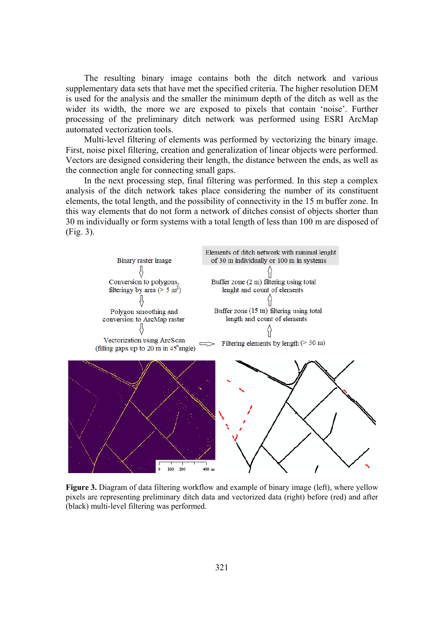The resulting binary image contains both the ditch network and various supplementary data sets that have met the specified criteria. The higher resolution DEM is used for the analysis and the smaller the minimum depth of the ditch as well as the wider its width, the more we are exposed to pixels that contain 'noise'. Further processing of the preliminary ditch network was performed using ESRI ArcMap automated vectorization tools.

Multi-level filtering of elements was performed by vectorizing the binary image. First, noise pixel filtering, creation and generalization of linear objects were performed. Vectors are designed considering their length, the distance between the ends, as well as the connection angle for connecting small gaps.

In the next processing step, final filtering was performed. In this step a complex analysis of the ditch network takes place considering the number of its constituent elements, the total length, and the possibility of connectivity in the 15 m buffer zone. In this way elements that do not form a network of ditches consist of objects shorter than 30 m individually or form systems with a total length of less than 100 m are disposed of (Fig. 3).



**Figure 3.** Diagram of data filtering workflow and example of binary image (left), where yellow pixels are representing preliminary ditch data and vectorized data (right) before (red) and after (black) multi-level filtering was performed.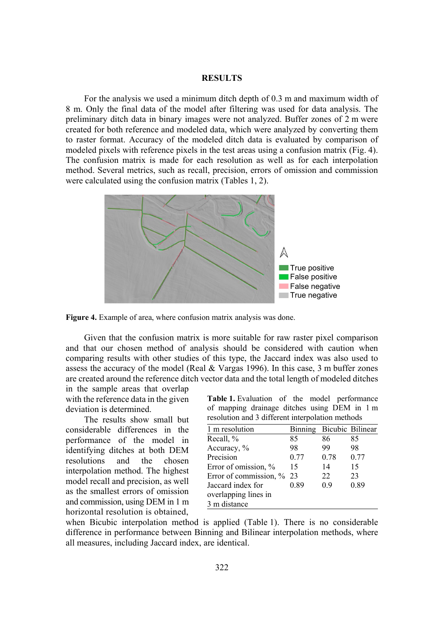## **RESULTS**

For the analysis we used a minimum ditch depth of 0.3 m and maximum width of 8 m. Only the final data of the model after filtering was used for data analysis. The preliminary ditch data in binary images were not analyzed. Buffer zones of 2 m were created for both reference and modeled data, which were analyzed by converting them to raster format. Accuracy of the modeled ditch data is evaluated by comparison of modeled pixels with reference pixels in the test areas using a confusion matrix (Fig. 4). The confusion matrix is made for each resolution as well as for each interpolation method. Several metrics, such as recall, precision, errors of omission and commission were calculated using the confusion matrix (Tables 1, 2).



**Figure 4.** Example of area, where confusion matrix analysis was done.

Given that the confusion matrix is more suitable for raw raster pixel comparison and that our chosen method of analysis should be considered with caution when comparing results with other studies of this type, the Jaccard index was also used to assess the accuracy of the model (Real & Vargas 1996). In this case, 3 m buffer zones are created around the reference ditch vector data and the total length of modeled ditches

in the sample areas that overlap with the reference data in the given deviation is determined.

The results show small but considerable differences in the performance of the model in identifying ditches at both DEM resolutions and the chosen interpolation method. The highest model recall and precision, as well as the smallest errors of omission and commission, using DEM in 1 m horizontal resolution is obtained,

**Table 1.** Evaluation of the model performance of mapping drainage ditches using DEM in 1 m resolution and 3 different interpolation methods

| 1 m resolution            | Binning Bicubic Bilinear |      |      |
|---------------------------|--------------------------|------|------|
| Recall, %                 | 85                       | 86   | 85   |
| Accuracy, %               | 98                       | 99   | 98   |
| Precision                 | 0.77                     | 0.78 | 0.77 |
| Error of omission, %      | 15                       | 14   | 15   |
| Error of commission, % 23 |                          | 22   | 23   |
| Jaccard index for         | 0.89                     | 0.9  | 0.89 |
| overlapping lines in      |                          |      |      |
| 3 m distance              |                          |      |      |

when Bicubic interpolation method is applied (Table 1). There is no considerable difference in performance between Binning and Bilinear interpolation methods, where all measures, including Jaccard index, are identical.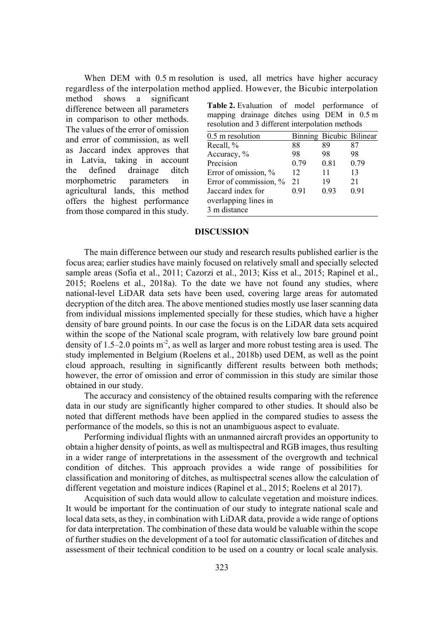When DEM with 0.5 m resolution is used, all metrics have higher accuracy regardless of the interpolation method applied. However, the Bicubic interpolation

method shows a significant difference between all parameters in comparison to other methods. The values of the error of omission and error of commission, as well as Jaccard index approves that in Latvia, taking in account the defined drainage ditch morphometric parameters in agricultural lands, this method offers the highest performance from those compared in this study.

**Table 2.** Evaluation of model performance of mapping drainage ditches using DEM in 0.5 m resolution and 3 different interpolation methods

| 88   | 89   | 87                       |
|------|------|--------------------------|
| 98   | 98   | 98                       |
| 0.79 | 0.81 | 0.79                     |
| 12   | 11   | 13                       |
| 21   | 19   | 21                       |
| 0.91 | 0.93 | 0.91                     |
|      |      |                          |
|      |      |                          |
|      |      | Binning Bicubic Bilinear |

#### **DISCUSSION**

The main difference between our study and research results published earlier is the focus area; earlier studies have mainly focused on relatively small and specially selected sample areas (Sofia et al., 2011; Cazorzi et al., 2013; Kiss et al., 2015; Rapinel et al., 2015; Roelens et al., 2018a). To the date we have not found any studies, where national-level LiDAR data sets have been used, covering large areas for automated decryption of the ditch area. The above mentioned studies mostly use laser scanning data from individual missions implemented specially for these studies, which have a higher density of bare ground points. In our case the focus is on the LiDAR data sets acquired within the scope of the National scale program, with relatively low bare ground point density of 1.5–2.0 points  $m<sup>2</sup>$ , as well as larger and more robust testing area is used. The study implemented in Belgium (Roelens et al., 2018b) used DEM, as well as the point cloud approach, resulting in significantly different results between both methods; however, the error of omission and error of commission in this study are similar those obtained in our study.

The accuracy and consistency of the obtained results comparing with the reference data in our study are significantly higher compared to other studies. It should also be noted that different methods have been applied in the compared studies to assess the performance of the models, so this is not an unambiguous aspect to evaluate.

Performing individual flights with an unmanned aircraft provides an opportunity to obtain a higher density of points, as well as multispectral and RGB images, thus resulting in a wider range of interpretations in the assessment of the overgrowth and technical condition of ditches. This approach provides a wide range of possibilities for classification and monitoring of ditches, as multispectral scenes allow the calculation of different vegetation and moisture indices (Rapinel et al., 2015; Roelens et al 2017).

Acquisition of such data would allow to calculate vegetation and moisture indices. It would be important for the continuation of our study to integrate national scale and local data sets, as they, in combination with LiDAR data, provide a wide range of options for data interpretation. The combination of these data would be valuable within the scope of further studies on the development of a tool for automatic classification of ditches and assessment of their technical condition to be used on a country or local scale analysis.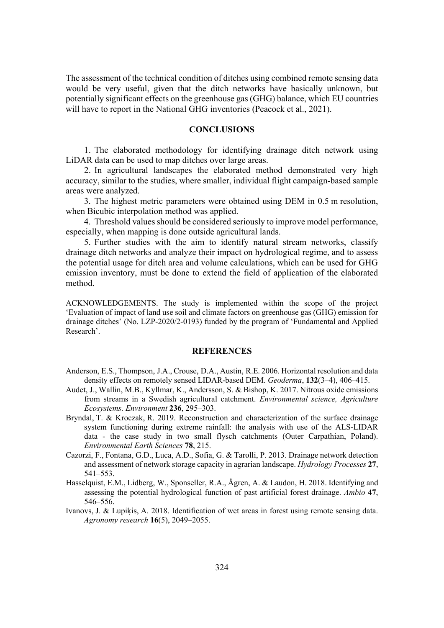The assessment of the technical condition of ditches using combined remote sensing data would be very useful, given that the ditch networks have basically unknown, but potentially significant effects on the greenhouse gas (GHG) balance, which EU countries will have to report in the National GHG inventories (Peacock et al., 2021).

## **CONCLUSIONS**

1. The elaborated methodology for identifying drainage ditch network using LiDAR data can be used to map ditches over large areas.

2. In agricultural landscapes the elaborated method demonstrated very high accuracy, similar to the studies, where smaller, individual flight campaign-based sample areas were analyzed.

3. The highest metric parameters were obtained using DEM in 0.5 m resolution, when Bicubic interpolation method was applied.

4. Threshold values should be considered seriously to improve model performance, especially, when mapping is done outside agricultural lands.

5. Further studies with the aim to identify natural stream networks, classify drainage ditch networks and analyze their impact on hydrological regime, and to assess the potential usage for ditch area and volume calculations, which can be used for GHG emission inventory, must be done to extend the field of application of the elaborated method.

ACKNOWLEDGEMENTS. The study is implemented within the scope of the project 'Evaluation of impact of land use soil and climate factors on greenhouse gas (GHG) emission for drainage ditches' (No. LZP-2020/2-0193) funded by the program of 'Fundamental and Applied Research'.

## **REFERENCES**

- Anderson, E.S., Thompson, J.A., Crouse, D.A., Austin, R.E. 2006. Horizontal resolution and data density effects on remotely sensed LIDAR-based DEM. *Geoderma*, 132(3–4), 406–415.
- Audet, J., Wallin, M.B., Kyllmar, K., Andersson, S. & Bishop, K. 2017. Nitrous oxide emissions from streams in a Swedish agricultural catchment. *Environmental science*, *Agriculture Ecosystems. Environment* 236, 295–303.
- Bryndal, T. & Kroczak, R. 2019. Reconstruction and characterization of the surface drainage system functioning during extreme rainfall: the analysis with use of the ALS-LIDAR data - the case study in two small flysch catchments (Outer Carpathian, Poland). *Environmental Earth Sciences* **78**, 215.
- Cazorzi, F., Fontana, G.D., Luca, A.D., Sofia, G. & Tarolli, P. 2013. Drainage network detection and assessment of network storage capacity in agrarian landscape. *Hydrology Processes* 27, 541–553.
- Hasselquist, E.M., Lidberg, W., Sponseller, R.A., Ågren, A. & Laudon, H. 2018. Identifying and assessing the potential hydrological function of past artificial forest drainage. *Ambio* 47, 546–556.
- Ivanovs, J. & Lupikis, A. 2018. Identification of wet areas in forest using remote sensing data. *Agronomy research* **16**(5), 2049–2055.